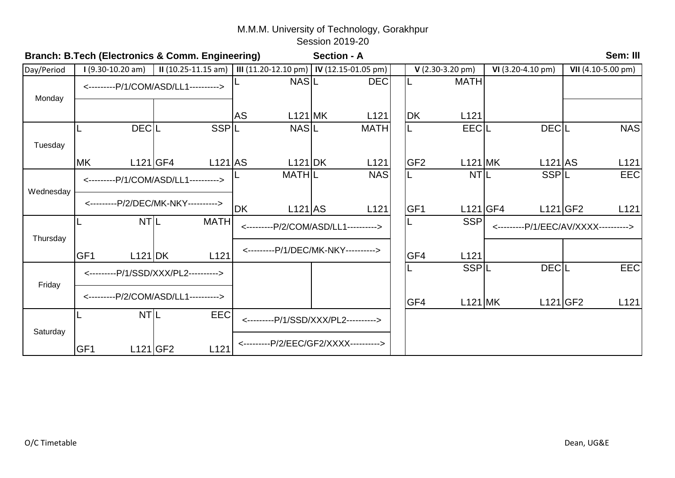|            |                            | Branch: B.Tech (Electronics & Comm. Engineering) |                                            | <b>Section - A</b> |                  |  |                           |                                      |                    |              |                    | Sem: III         |
|------------|----------------------------|--------------------------------------------------|--------------------------------------------|--------------------|------------------|--|---------------------------|--------------------------------------|--------------------|--------------|--------------------|------------------|
| Day/Period | $1(9.30-10.20 am)$         | $II(10.25-11.15 am)$                             | III (11.20-12.10 pm)   IV (12.15-01.05 pm) |                    |                  |  | $V(2.30-3.20 \text{ pm})$ |                                      | $VI(3.20-4.10 pm)$ |              | VII (4.10-5.00 pm) |                  |
|            |                            | <---------P/1/COM/ASD/LL1---------->             | <b>NASL</b>                                |                    | <b>DEC</b>       |  |                           | <b>MATH</b>                          |                    |              |                    |                  |
| Monday     |                            |                                                  |                                            |                    |                  |  |                           |                                      |                    |              |                    |                  |
|            |                            |                                                  | <b>AS</b>                                  | $L121$ MK          | L <sub>121</sub> |  | DK                        | L121                                 |                    |              |                    |                  |
|            | <b>DECL</b>                | <b>SSPIL</b>                                     | <b>NASL</b>                                |                    | <b>MATH</b>      |  |                           | <b>EECIL</b>                         |                    | <b>DECIL</b> |                    | <b>NAS</b>       |
| Tuesday    |                            |                                                  |                                            |                    |                  |  |                           |                                      |                    |              |                    |                  |
|            | <b>MK</b>                  | $L121$ GF4<br>$L121$ AS                          | L121 DK                                    |                    | L <sub>121</sub> |  | GF <sub>2</sub>           | $L121$ MK                            |                    | $L121$ AS    |                    | L <sub>121</sub> |
| Wednesday  |                            | <---------P/1/COM/ASD/LL1---------->             | <b>MATHIL</b>                              |                    | <b>NAS</b>       |  |                           | <b>NTIL</b>                          |                    | <b>SSPIL</b> |                    | <b>EEC</b>       |
|            |                            | <---------P/2/DEC/MK-NKY---------->              | <b>DK</b><br>$L121$ AS                     |                    | L <sub>121</sub> |  | GF1                       |                                      | L121 GF4           |              | $L121$ GF2         | L121             |
| Thursday   | NT <sub>IL</sub>           | <b>MATH</b>                                      | <---------P/2/COM/ASD/LL1---------->       |                    |                  |  | <b>SSP</b>                | <---------P/1/EEC/AV/XXXX----------> |                    |              |                    |                  |
|            | GF <sub>1</sub><br>L121 DK | L <sub>121</sub>                                 | <---------P/1/DEC/MK-NKY---------->        |                    |                  |  | GF4                       | L <sub>121</sub>                     |                    |              |                    |                  |
| Friday     |                            | <---------P/1/SSD/XXX/PL2---------->             |                                            |                    |                  |  |                           | <b>SSPIL</b>                         |                    | <b>DECIL</b> |                    | <b>EEC</b>       |
|            |                            | <---------P/2/COM/ASD/LL1---------->             |                                            |                    |                  |  | GF4                       | $L121$ MK                            |                    |              | $L121$ GF2         | L <sub>121</sub> |
|            | NT <sub>L</sub>            | EEC                                              | <---------P/1/SSD/XXX/PL2---------->       |                    |                  |  |                           |                                      |                    |              |                    |                  |
| Saturday   | GF <sub>1</sub>            | $L121$ GF2<br>L <sub>121</sub>                   | <---------P/2/EEC/GF2/XXXX---------->      |                    |                  |  |                           |                                      |                    |              |                    |                  |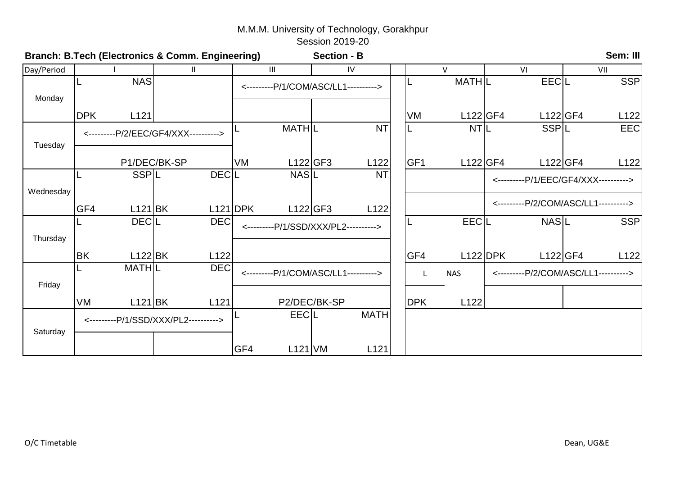|            |                                      |               | Branch: B.Tech (Electronics & Comm. Engineering) |              |                                      | <b>Section - B</b>                   |                  |                 |                 |            |                                      | Sem: III   |
|------------|--------------------------------------|---------------|--------------------------------------------------|--------------|--------------------------------------|--------------------------------------|------------------|-----------------|-----------------|------------|--------------------------------------|------------|
| Day/Period |                                      |               | $\mathbf{H}$                                     |              | III                                  |                                      | IV               |                 | $\vee$          |            | VI                                   | VII        |
|            |                                      | <b>NAS</b>    |                                                  |              |                                      | <---------P/1/COM/ASC/LL1----------> |                  |                 | <b>MATHL</b>    |            | EECL                                 | <b>SSP</b> |
| Monday     |                                      |               |                                                  |              |                                      |                                      |                  |                 |                 |            |                                      |            |
|            | <b>DPK</b>                           | L121          |                                                  |              |                                      |                                      |                  | <b>VM</b>       | L122 GF4        |            | L122 GF4                             | L122       |
| Tuesday    | <---------P/2/EEC/GF4/XXX----------> |               |                                                  |              | <b>MATHIL</b>                        |                                      | <b>NT</b>        |                 | NT <sub>L</sub> |            | <b>SSPIL</b>                         | <b>EEC</b> |
|            |                                      |               | P1/DEC/BK-SP                                     | VM           | L122 GF3                             |                                      | L122             | GF <sub>1</sub> | L122 GF4        |            | $L122$ GF4                           | L122       |
| Wednesday  |                                      | <b>SSPIL</b>  |                                                  | <b>DECIL</b> | <b>NASIL</b>                         |                                      | <b>NT</b>        |                 |                 |            | <---------P/1/EEC/GF4/XXX----------> |            |
|            | GF4                                  | $L121$ BK     |                                                  | $L121$ DPK   | L122 GF3                             |                                      | L <sub>122</sub> |                 |                 |            | <---------P/2/COM/ASC/LL1----------> |            |
| Thursday   |                                      | <b>DECIL</b>  | <b>DEC</b>                                       |              | <---------P/1/SSD/XXX/PL2----------> |                                      |                  |                 | <b>EECIL</b>    |            | <b>NASL</b>                          | <b>SSP</b> |
|            | <b>BK</b>                            | $L122$ BK     | L122                                             |              |                                      |                                      |                  | GF4             |                 | $L122$ DPK | $L122$ GF4                           | L122       |
| Friday     |                                      | <b>MATHIL</b> | <b>DEC</b>                                       |              | <---------P/1/COM/ASC/LL1----------> |                                      |                  | L               | <b>NAS</b>      |            | <---------P/2/COM/ASC/LL1----------> |            |
|            | <b>VM</b>                            | $L121$ BK     | L121                                             |              |                                      | P2/DEC/BK-SP                         |                  | <b>DPK</b>      | L122            |            |                                      |            |
| Saturday   |                                      |               | <---------P/1/SSD/XXX/PL2---------->             |              | EECIL                                |                                      | <b>MATH</b>      |                 |                 |            |                                      |            |
|            |                                      |               |                                                  | GF4          | $L121$ VM                            |                                      | L <sub>121</sub> |                 |                 |            |                                      |            |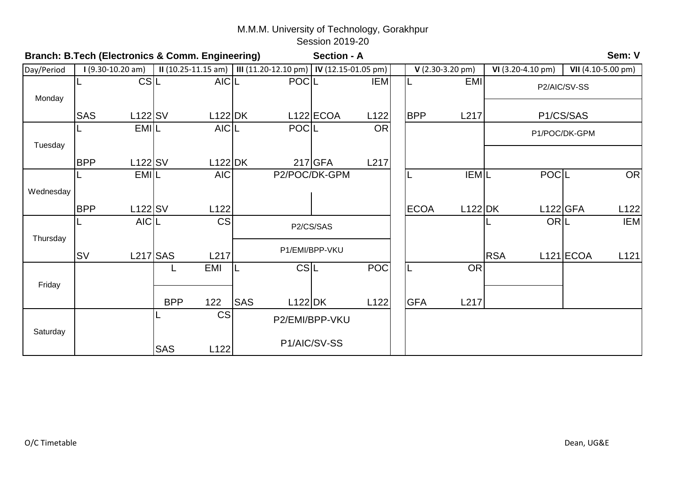|            | Sem: V<br>Branch: B.Tech (Electronics & Comm. Engineering)<br>Section - A |             |            |                  |                                            |             |                |                  |  |                           |             |            |                    |               |                    |  |
|------------|---------------------------------------------------------------------------|-------------|------------|------------------|--------------------------------------------|-------------|----------------|------------------|--|---------------------------|-------------|------------|--------------------|---------------|--------------------|--|
| Day/Period | $1(9.30-10.20 am)$<br>$II(10.25-11.15 am)$                                |             |            |                  | III (11.20-12.10 pm)   IV (12.15-01.05 pm) |             |                |                  |  | $V(2.30-3.20 \text{ pm})$ |             |            | $VI(3.20-4.10 pm)$ |               | VII (4.10-5.00 pm) |  |
|            |                                                                           | CS L        |            | <b>AICL</b>      |                                            | <b>POCL</b> |                | <b>IEM</b>       |  |                           | <b>EMI</b>  |            |                    | P2/AIC/SV-SS  |                    |  |
| Monday     |                                                                           |             |            |                  |                                            |             |                |                  |  |                           |             |            |                    |               |                    |  |
|            | <b>SAS</b>                                                                | $L122$ SV   |            | $L122$ DK        |                                            |             | $L122$ ECOA    | L <sub>122</sub> |  | <b>BPP</b>                | L217        |            |                    | P1/CS/SAS     |                    |  |
|            |                                                                           | <b>EMIL</b> |            | AIC <sub>L</sub> |                                            | <b>POCL</b> |                | <b>OR</b>        |  |                           |             |            |                    | P1/POC/DK-GPM |                    |  |
| Tuesday    |                                                                           |             |            |                  |                                            |             |                |                  |  |                           |             |            |                    |               |                    |  |
|            | <b>BPP</b>                                                                | $L122$ SV   |            | $L122$ DK        |                                            |             | $217$ GFA      | L217             |  |                           |             |            |                    |               |                    |  |
|            |                                                                           | <b>EMIL</b> |            | <b>AIC</b>       |                                            |             | P2/POC/DK-GPM  |                  |  | IL                        | <b>IEML</b> |            | POCL               |               | <b>OR</b>          |  |
| Wednesday  |                                                                           |             |            |                  |                                            |             |                |                  |  |                           |             |            |                    |               |                    |  |
|            | <b>BPP</b>                                                                | $L122$ SV   |            | L122             |                                            |             |                |                  |  | <b>ECOA</b>               | $L122$ DK   |            | $L122$ GFA         |               | L122               |  |
|            |                                                                           | <b>AICL</b> |            | <b>CS</b>        |                                            |             | P2/CS/SAS      |                  |  |                           |             |            | ORL                |               | <b>IEM</b>         |  |
| Thursday   |                                                                           |             |            |                  |                                            |             |                |                  |  |                           |             |            |                    |               |                    |  |
|            | <b>SV</b>                                                                 | $L217$ SAS  |            | L217             |                                            |             | P1/EMI/BPP-VKU |                  |  |                           |             | <b>RSA</b> |                    | $L121$ ECOA   | L121               |  |
|            |                                                                           |             |            | <b>EMI</b>       | IL                                         | CS L        |                | POC              |  | IL                        | <b>OR</b>   |            |                    |               |                    |  |
| Friday     |                                                                           |             |            |                  |                                            |             |                |                  |  |                           |             |            |                    |               |                    |  |
|            |                                                                           |             | <b>BPP</b> | 122              | <b>SAS</b>                                 | L122 DK     |                | L122             |  | <b>GFA</b>                | L217        |            |                    |               |                    |  |
|            |                                                                           |             |            | <b>CS</b>        |                                            |             | P2/EMI/BPP-VKU |                  |  |                           |             |            |                    |               |                    |  |
| Saturday   |                                                                           |             | <b>SAS</b> | L122             |                                            |             | P1/AIC/SV-SS   |                  |  |                           |             |            |                    |               |                    |  |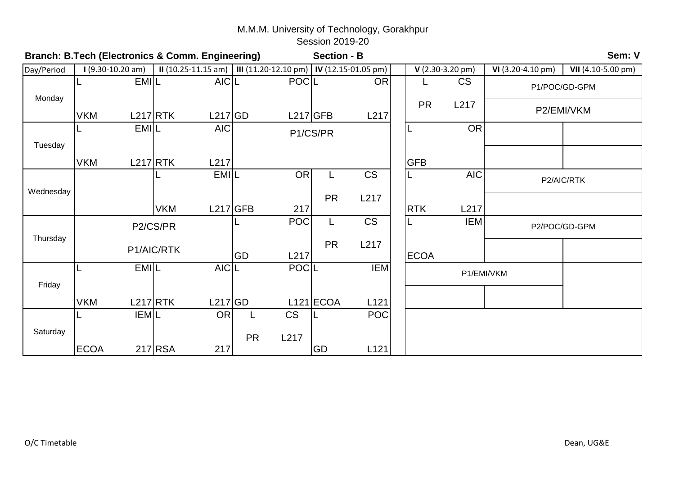|            | Sem: V<br>Branch: B.Tech (Electronics & Comm. Engineering)<br><b>Section - B</b> |             |            |                      |           |                                            |             |            |  |             |                           |                    |                    |  |
|------------|----------------------------------------------------------------------------------|-------------|------------|----------------------|-----------|--------------------------------------------|-------------|------------|--|-------------|---------------------------|--------------------|--------------------|--|
| Day/Period | $1(9.30-10.20 am)$                                                               |             |            | $II(10.25-11.15 am)$ |           | III (11.20-12.10 pm)   IV (12.15-01.05 pm) |             |            |  |             | $V(2.30-3.20 \text{ pm})$ | $VI(3.20-4.10 pm)$ | VII (4.10-5.00 pm) |  |
|            |                                                                                  | <b>EMIL</b> |            | AIC <sub>L</sub>     |           | <b>POCIL</b>                               |             | OR         |  |             | <b>CS</b>                 |                    | P1/POC/GD-GPM      |  |
| Monday     | <b>VKM</b>                                                                       | $L217$ RTK  |            | $L217$ GD            |           | $L217$ GFB                                 |             | L217       |  | <b>PR</b>   | L217                      |                    | P2/EMI/VKM         |  |
|            |                                                                                  | <b>EMIL</b> |            | <b>AIC</b>           |           |                                            | P1/CS/PR    |            |  | L           | <b>OR</b>                 |                    |                    |  |
| Tuesday    |                                                                                  |             |            |                      |           |                                            |             |            |  |             |                           |                    |                    |  |
|            | <b>VKM</b>                                                                       | $L217$ RTK  |            | L217                 |           |                                            |             |            |  | <b>GFB</b>  |                           |                    |                    |  |
|            |                                                                                  |             |            | <b>EMIL</b>          |           | <b>OR</b>                                  |             | <b>CS</b>  |  | L           | <b>AIC</b>                |                    | P2/AIC/RTK         |  |
| Wednesday  |                                                                                  |             |            |                      |           |                                            | <b>PR</b>   | L217       |  |             |                           |                    |                    |  |
|            |                                                                                  |             | <b>VKM</b> | $L217$ GFB           |           | 217                                        |             |            |  | <b>RTK</b>  | L217                      |                    |                    |  |
|            |                                                                                  | P2/CS/PR    |            |                      |           | <b>POC</b>                                 | L.          | <b>CS</b>  |  | L           | <b>IEM</b>                |                    | P2/POC/GD-GPM      |  |
| Thursday   |                                                                                  |             | P1/AIC/RTK |                      | GD        | L217                                       | <b>PR</b>   | L217       |  | <b>ECOA</b> |                           |                    |                    |  |
|            |                                                                                  | EMIL        |            | AIC <sub>L</sub>     |           | POCIL                                      |             | <b>IEM</b> |  |             | P1/EMI/VKM                |                    |                    |  |
| Friday     |                                                                                  |             |            |                      |           |                                            |             |            |  |             |                           |                    |                    |  |
|            | <b>VKM</b>                                                                       | $L217$ RTK  |            | $L217$ GD            |           |                                            | $L121$ ECOA | L121       |  |             |                           |                    |                    |  |
|            |                                                                                  | <b>IEML</b> |            | <b>OR</b>            |           | <b>CS</b>                                  |             | POC        |  |             |                           |                    |                    |  |
| Saturday   |                                                                                  |             |            |                      | <b>PR</b> | L217                                       |             |            |  |             |                           |                    |                    |  |
|            | <b>ECOA</b>                                                                      |             | $217$ RSA  | 217                  |           |                                            | GD          | L121       |  |             |                           |                    |                    |  |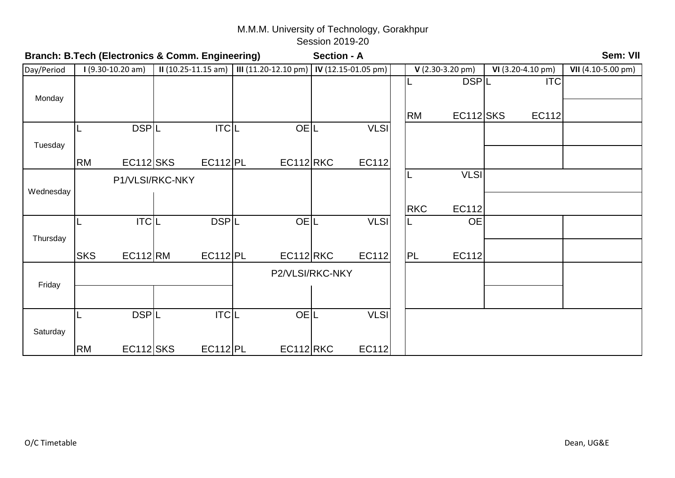| Branch: B.Tech (Electronics & Comm. Engineering) |            |                    |                      |                  |                                            |            | Sem: VII<br><b>Section - A</b> |              |    |             |                           |  |                    |                    |  |  |
|--------------------------------------------------|------------|--------------------|----------------------|------------------|--------------------------------------------|------------|--------------------------------|--------------|----|-------------|---------------------------|--|--------------------|--------------------|--|--|
| Day/Period                                       |            | $1(9.30-10.20 am)$ | $II(10.25-11.15 am)$ |                  | III (11.20-12.10 pm)   IV (12.15-01.05 pm) |            |                                |              |    |             | $V(2.30-3.20 \text{ pm})$ |  | $VI(3.20-4.10 pm)$ | VII (4.10-5.00 pm) |  |  |
| Monday                                           |            |                    |                      |                  |                                            |            |                                |              |    | $\lfloor$   | <b>DSPL</b>               |  | <b>ITC</b>         |                    |  |  |
|                                                  |            |                    |                      |                  |                                            |            |                                |              |    | <b>RM</b>   | $EC112$ SKS               |  | EC112              |                    |  |  |
|                                                  |            | DSPL               |                      | <b>ITCL</b>      |                                            | <b>OEL</b> |                                | <b>VLSI</b>  |    |             |                           |  |                    |                    |  |  |
| Tuesday                                          |            |                    |                      |                  |                                            |            |                                |              |    |             |                           |  |                    |                    |  |  |
|                                                  | <b>RM</b>  | $EC112$ SKS        |                      | EC112 PL         | $EC112$ RKC                                |            |                                | EC112        |    |             |                           |  |                    |                    |  |  |
|                                                  |            |                    | P1/VLSI/RKC-NKY      |                  |                                            |            |                                |              | IL | <b>VLSI</b> |                           |  |                    |                    |  |  |
| Wednesday                                        |            |                    |                      |                  |                                            |            |                                |              |    |             |                           |  |                    |                    |  |  |
|                                                  |            |                    |                      |                  |                                            |            |                                |              |    | <b>RKC</b>  | EC112                     |  |                    |                    |  |  |
|                                                  |            | TC L               |                      | <b>DSPL</b>      |                                            | <b>OEL</b> |                                | <b>VLSI</b>  |    | L           | <b>OE</b>                 |  |                    |                    |  |  |
| Thursday                                         |            |                    |                      |                  |                                            |            |                                |              |    |             |                           |  |                    |                    |  |  |
|                                                  | <b>SKS</b> | EC112 RM           |                      | <b>EC112 PL</b>  | EC112 RKC                                  |            |                                | EC112        |    | <b>PL</b>   | EC112                     |  |                    |                    |  |  |
|                                                  |            |                    |                      |                  |                                            |            | P2/VLSI/RKC-NKY                |              |    |             |                           |  |                    |                    |  |  |
| Friday                                           |            |                    |                      |                  |                                            |            |                                |              |    |             |                           |  |                    |                    |  |  |
|                                                  |            | <b>DSPL</b>        |                      | ITC <sub>L</sub> |                                            | <b>OEL</b> |                                | <b>VLSI</b>  |    |             |                           |  |                    |                    |  |  |
| Saturday                                         |            |                    |                      |                  |                                            |            |                                |              |    |             |                           |  |                    |                    |  |  |
|                                                  | <b>RM</b>  | <b>EC112 SKS</b>   |                      | EC112 PL         | $EC112$ RKC                                |            |                                | <b>EC112</b> |    |             |                           |  |                    |                    |  |  |